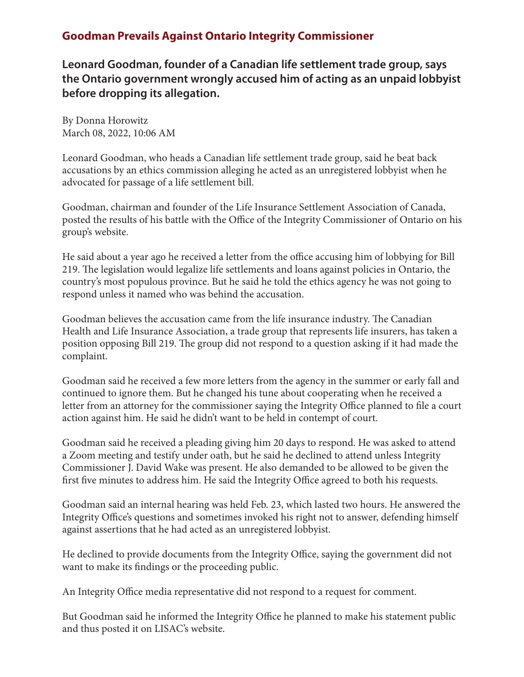## **Goodman Prevails Against Ontario Integrity Commissioner**

**Leonard Goodman, founder of a Canadian life settlement trade group, says the Ontario government wrongly accused him of acting as an unpaid lobbyist before dropping its allegation.**

By Donna Horowitz March 08, 2022, 10:06 AM

Leonard Goodman, who heads a Canadian life settlement trade group, said he beat back accusations by an ethics commission alleging he acted as an unregistered lobbyist when he advocated for passage of a life settlement bill.

Goodman, chairman and founder of the Life Insurance Settlement Association of Canada, posted the results of his battle with the Office of the Integrity Commissioner of Ontario on his group's website.

He said about a year ago he received a letter from the office accusing him of lobbying for Bill 219. The legislation would legalize life settlements and loans against policies in Ontario, the country's most populous province. But he said he told the ethics agency he was not going to respond unless it named who was behind the accusation.

Goodman believes the accusation came from the life insurance industry. The Canadian Health and Life Insurance Association, a trade group that represents life insurers, has taken a position opposing Bill 219. The group did not respond to a question asking if it had made the complaint.

Goodman said he received a few more letters from the agency in the summer or early fall and continued to ignore them. But he changed his tune about cooperating when he received a letter from an attorney for the commissioner saying the Integrity Office planned to file a court action against him. He said he didn't want to be held in contempt of court.

Goodman said he received a pleading giving him 20 days to respond. He was asked to attend a Zoom meeting and testify under oath, but he said he declined to attend unless Integrity Commissioner J. David Wake was present. He also demanded to be allowed to be given the first five minutes to address him. He said the Integrity Office agreed to both his requests.

Goodman said an internal hearing was held Feb. 23, which lasted two hours. He answered the Integrity Office's questions and sometimes invoked his right not to answer, defending himself against assertions that he had acted as an unregistered lobbyist.

He declined to provide documents from the Integrity Office, saying the government did not want to make its findings or the proceeding public.

An Integrity Office media representative did not respond to a request for comment.

But Goodman said he informed the Integrity Office he planned to make his statement public and thus posted it on LISAC's website.